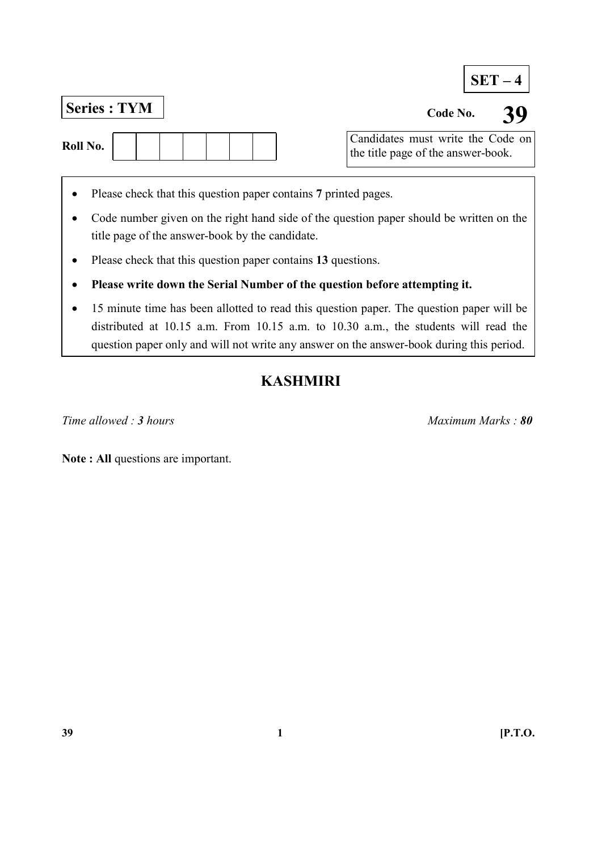# $SET - 4$

### Series : TYM

Roll No.

Code No. 39

Candidates must write the Code on the title page of the answer-book.

- Please check that this question paper contains 7 printed pages.
- Code number given on the right hand side of the question paper should be written on the title page of the answer-book by the candidate.
- Please check that this question paper contains 13 questions.
- Please write down the Serial Number of the question before attempting it.
- 15 minute time has been allotted to read this question paper. The question paper will be distributed at 10.15 a.m. From 10.15 a.m. to 10.30 a.m., the students will read the question paper only and will not write any answer on the answer-book during this period.

## KASHMIRI

 $Time allowed: 3 hours$  Maximum Marks : 80

Note : All questions are important.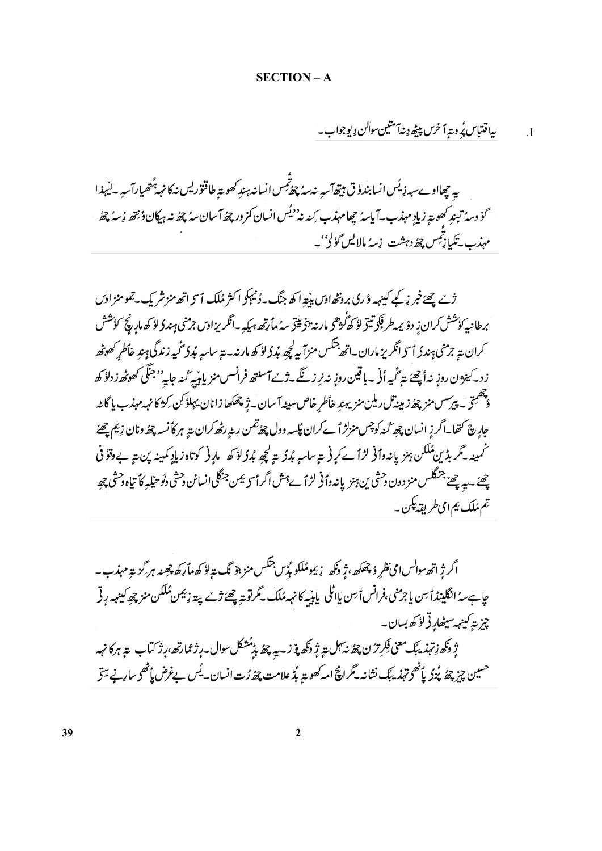بەاقتياس ئەوبتە أخرس پىيھ دىنە بېتىن سوالن دېوجواپ \_\_  $\overline{1}$ 

به جهااوےسبه زیسُ انسابندؤ ق ہیتھآسہ نہ سہُ چھ<sup>تمِس</sup> انسانہ پبند کھوتہِ طاقتور<sup>ی</sup>س نہ کا نہہ پ<sup>م</sup>تھیارآسہِ ۔لیٰہذا گۆ دسە<sup>ٔ ت</sup>ىبند كھوپتە زى<u>اد</u> مہذب -آياسەُ حچھامہذب كِنە نە<sup>دى</sup>يُس انسان كمزور چھُ آسان سەُ چھ<sub>ُ</sub> نە ہیكان *ڈىتھ ن*ەسەُ چھُ مہذب بتكيا ز*نمِس چھُ دہشت* زِسہُ مالالیں گ<sup>و</sup>لی ٗ ٗ ۔

ژ پے پھے خبر نہ کے کینہہ ؤ ری برونٹھ اوں پینتہ ا کھ جنگ ۔دُنیپکو اکثر مُلک اُسچ اتھ منز شر یک ۔تمو منز اوں برطانىيە كۈشش كران ز دۇ بمەطر فكى تىتى لۈڭ گەڭرىھى مارنە يخ تىتى سەُ مأرتھ ہىكە بەل<sup>ت</sup>گرىزادىن جرمنى ہىند كەلۈ كەمارىنچ <sup>كۈش</sup>ش ۔<br>کران پتہ جرمنی ہندی اُسی انگریز ماران ۔اتھ جنگس منزا پہ کچھ بڈکہ لؤ کھ مارنیہ۔ پتہ ساسہ بڈکہ گمیہ زندگی ہند خاطر کھوٹھ ز د<sup>\_كی</sup>نژن روزِ نہ أچھےٗ يترِ گَيه أَنِّي – باقين روزِ نہ *نِرِ زينگ -ژ*ينے آ<sup>س</sup>نتھ فرانس منز پابنيبر <sub>كُن</sub>ه جايه''جنگى كھوٹھ ز دلوٰ كھ ۇچىم -<br>ۇچىم - پىرسس مىز چۇ زىيىنەتل رىلن مىزېيهند خاطر خاص سېپپە آسان - ژېچىكىھا زانان يېلۈ كن كِرْدىكا نېپەم پذب پاڭايە جار چ<sup>ے</sup> کتھا۔اگر زِ انسان چھ گنہ کوچس منزلڑ اُ ےکران پُلسہ وول چھٔ تیمن ری<sub>ج</sub>رنٹھ کران <del>پن</del>ے ہر کاً نسہ چھٔ ونان زِئیم چھے٘ ۔<br>ئمبینہ بےگریڈین مُلکن ہنز پانہ واُنی لڑا <sub>سے ک</sub>رنی پتہ ساسہ بُدکہ پتہ کچھ بُدکہ لوٗ کھ پارنی کو اور مادیادِ کمبینہ پن پتہ بے وقوٗ فی چىق ۔ پہ چھن<sup>جن</sup>گلس منز دون دحشی پن ہِنز یانہ واُ ( لڑ اُ <sub>سے ہِش</sub> اگر اُس<sub>ح</sub> یمن جنگلی انسانن دحش وئو تن<sub>یلبر</sub> کاُ تیاہ دحش چھ تم مُلک یم امی طریقہ پکن ۔

اگر ژ اتھ سوالس امی نظر وُ چھکھ ، ژِ وَکھ ٖ زِیمومُلکو بُڈس جنگس منز جو٘ نگ بتہ لوٗ کھ ماٗ رِکھ چھنہ ہر گز بتہ مہذب۔ جا ہےسہُ انگلینڈائ<sup>س</sup> یاجرمنی،فرانس اُسِن یااٹلی پابِنیہ کانہہ مُلک بگرتوتہ چھے ُڑے پتہ زیمن مُلکن منز چھ کینہہ رِ قر چزىتەكىنىپەسىٹھار تىلۈكھ بسان۔

.<br>ژٍ دَکھ زِتہذیبگ معنی فَکرِترُ ن چھُ نہ بہل تہِ ژٍ دَکھ پو٘ ز۔یہ چھُ بڈمشکل سوال۔رِ ژ عمارتھ،رِ ژ کہاب یہ ہرکانہہ <sup>حس</sup>ین چ<sub>نرچھ</sub> پُزکر پاٹھحی تہذیبگ نشانہ۔مگراچج امہ کھو بتہ بڈ علامت چھ رُت انسان ۔ یُس بےغرض پاٹھحو سارئے ہ<sup>ی</sup>تر

39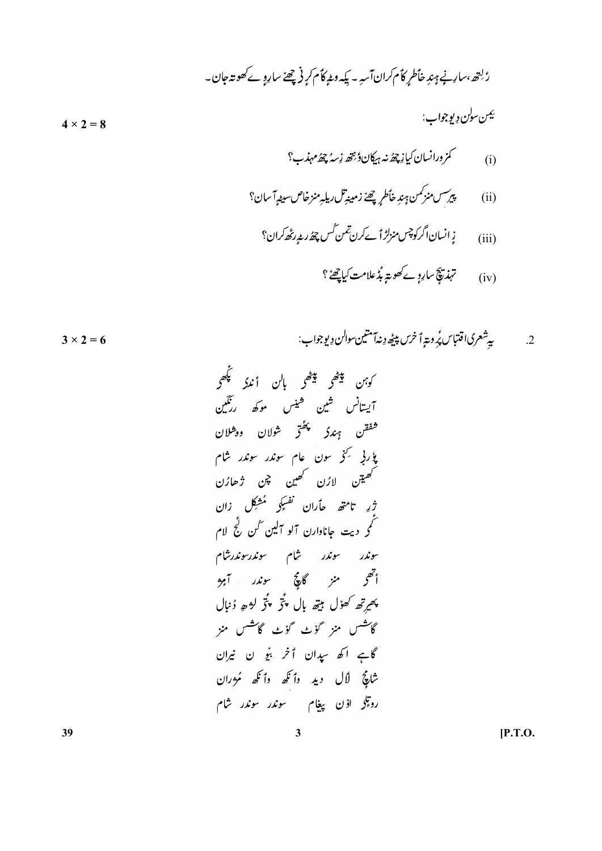یکن سول و یوچواب:  
(i) 
$$
\lambda x 2 = 8
$$
  
(ii) 
$$
\frac{1}{2} \sum_{j=1}^{n} \sum_{j=1}^{n} \sum_{j=1}^{n} \sum_{j=1}^{n} \sum_{j=1}^{n} \sum_{j=1}^{n} \sum_{j=1}^{n} \sum_{j=1}^{n} \sum_{j=1}^{n} \sum_{j=1}^{n} \sum_{j=1}^{n} \sum_{j=1}^{n} \sum_{j=1}^{n} \sum_{j=1}^{n} \sum_{j=1}^{n} \sum_{j=1}^{n} \sum_{j=1}^{n} \sum_{j=1}^{n} \sum_{j=1}^{n} \sum_{j=1}^{n} \sum_{j=1}^{n} \sum_{j=1}^{n} \sum_{j=1}^{n} \sum_{j=1}^{n} \sum_{j=1}^{n} \sum_{j=1}^{n} \sum_{j=1}^{n} \sum_{j=1}^{n} \sum_{j=1}^{n} \sum_{j=1}^{n} \sum_{j=1}^{n} \sum_{j=1}^{n} \sum_{j=1}^{n} \sum_{j=1}^{n} \sum_{j=1}^{n} \sum_{j=1}^{n} \sum_{j=1}^{n} \sum_{j=1}^{n} \sum_{j=1}^{n} \sum_{j=1}^{n} \sum_{j=1}^{n} \sum_{j=1}^{n} \sum_{j=1}^{n} \sum_{j=1}^{n} \sum_{j=1}^{n} \sum_{j=1}^{n} \sum_{j=1}^{n} \sum_{j=1}^{n} \sum_{j=1}^{n} \sum_{j=1}^{n} \sum_{j=1}^{n} \sum_{j=1}^{n} \sum_{j=1}^{n} \sum_{j=1}^{n} \sum_{j=1}^{n} \sum_{j=1}^{n} \sum_{j=1}^{n} \sum_{j=1}^{n} \sum_{j=1}^{n} \sum_{j=1}^{n} \sum_{j=1}^{n} \sum_{j=1}^{n} \sum_{j=1}^{n} \sum_{j=1}^{n} \sum_{j=1}^{n} \sum_{j=1}^{n} \sum_{j=1}^{n} \sum_{j=1}^{n} \sum_{j=1}^{n} \sum_{j=1}^{n} \sum_{j=1}^{n} \sum_{j=1
$$

 $3 \times 2 = 6$ 

 $[P.T.O.$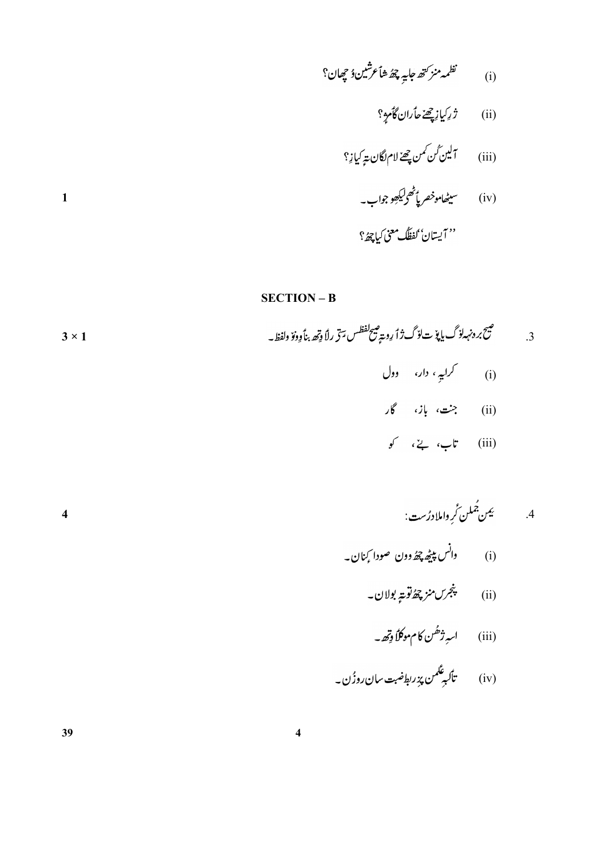(i) *öظيم<sup>م</sup>ىز كقوم*ى
$$
h_{\tilde{g}}
$$
وچىڭ،

(iii) 
$$
T^1 \rightarrow \mathbb{Z}
$$

### $SECTION - B$

3 × 1  
\n3 × 2  
\n(ii) 
$$
\sqrt{4\pi} \sqrt{2}
$$
 (i)  
\n(i)  $\sqrt{4\pi} \sqrt{2}$  (ii)  
\n(ii)  $\sqrt{2}$  (iii)  $\sqrt{2}$  (iv)  $\sqrt{2}$  (v)  $\sqrt{2}$  (v)  $\sqrt{2}$  (vi)  $\sqrt{2}$  (v)  $\sqrt{2}$  (vi)  $\sqrt{2}$  (v)  $\sqrt{2}$  (vi)  $\sqrt{2}$  (v)  $\sqrt{2}$  (v)  $\sqrt{2}$  (vi)  $\sqrt{2}$  (v)  $\sqrt{2}$  (v)  $\sqrt{2}$  (vi)  $\sqrt{2}$  (v)  $\sqrt{2}$  (vi)  $\sqrt{2}$  (v)  $\sqrt{2}$  (vi)  $\sqrt{2}$  (v)  $\sqrt{2}$  (vi)  $\sqrt{2}$  (v)  $\sqrt{2}$  (vi)  $\sqrt{2}$  (v)  $\sqrt{2}$  (vi)  $\sqrt{2}$  (v)  $\sqrt{2}$  (vi)  $\sqrt{2}$  (v)  $\sqrt{2}$  (vi)  $\sqrt{2}$  (v)  $\sqrt{2}$  (vi)  $\sqrt{2}$  (v)  $\sqrt{2}$  (vi)  $\sqrt{2}$  (v)  $\sqrt{2}$  (vi)  $\sqrt{2}$  (v)  $\sqrt{2}$  (vi)  $\sqrt{2}$  (v)  $\sqrt{2}$  (vi)  $\sqrt{2}$  (v)  $\sqrt{2}$  (vi)  $\sqrt{2}$  (v)  $\sqrt{2}$  (vi)  $\sqrt{2}$  (v)  $\sqrt{2}$  (vi)  $\sqrt{2}$  (v)  $\sqrt{2}$  (vi)  $\sqrt{2}$  (v)  $\sqrt{2}$  (vi)  $\sqrt{2}$  (v)  $\sqrt{2}$  (vi)  $\sqrt{2}$  (v)  $\sqrt{2}$  (vi)  $\sqrt{2}$  (v)  $\sqrt{2}$  (vi)  $\sqrt{2}$  (v)  $\sqrt{2}$  (vi)  $\sqrt{2}$  (v)  $\sqrt{$ 

4.  
(i) 
$$
l^{(1)}(u)
$$
  
(ii)  $l^{(1)}(u)$   
(iii)  ${}^{i}\tilde{z}^{(2i)}$   
(iii)  ${}^{i}\tilde{z}^{(3i)}$   
(iii)  ${}^{i}\tilde{z}^{(4i)}$   
(iii)  ${}^{i}\tilde{z}^{(4i)}$   
(iii)  ${}^{i}\tilde{z}^{(4i)}$ 

 $39$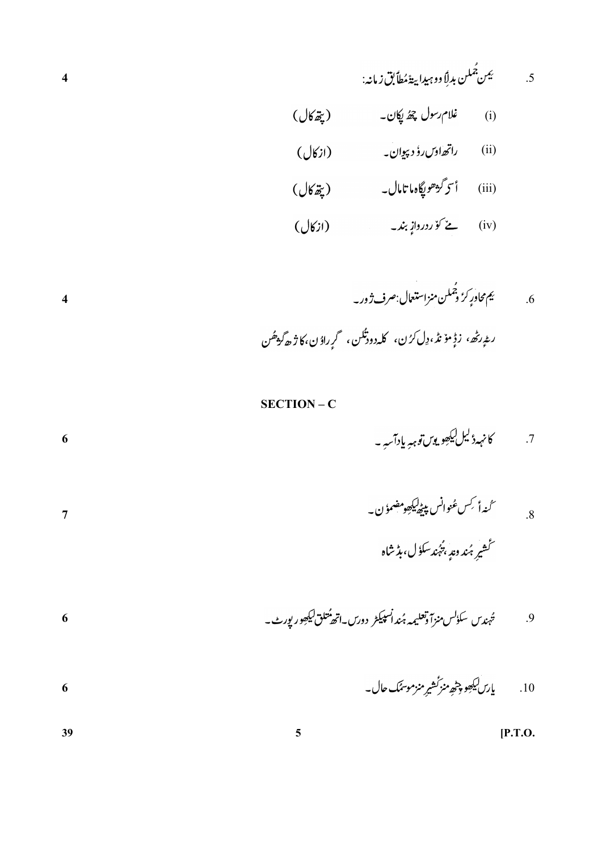- يمن يُملن بدلًا ووسيدا بيعةً مُطاً بق زمانه:  $.5$
- غلام رسول چھُ لِکان۔  $(\bigcup \vec{\mathscr{E}})$  $(i)$
- $(ii)$
- (iii) أَسَرَ كَرْهِ هُولِيگاه ما تامال \_  $(\bigcup \vec{z}$
- (iv) خے کو روروازِ بند۔ (ازکال)
- یم محادر کر دنجملن منزاستعال حرف ژور ـ  $.6$  $\overline{\mathbf{4}}$ ر<sub>ىۋ</sub>رى*ڭە*، زې<sup>ب</sup>و ن<sup>ى</sup>ر،دِل *كر*ُن، كلەدودىگىن، گرِراۇن،كا ژەگ<sup>رەھ</sup>ُن

#### **SECTION - C**

- گنە أ<sup>ك</sup>س عُنوانس پېي<mark>ن</mark>ىك<sub>ى</sub>ھومضمۇن \_  $\overline{8}$  $\overline{7}$ ۔<br>سنشیر ہُند وندِ بَتُہُندسکوٗ ل، بڈشاہ
- ځېندس سکۈلس منزا وتعلیمه مُنداسپیکٹر دورس۔اتھ مُتلق کیکھور پورٹ۔ .9 6
- بارس<sup>لیک</sup>ھو چ<sup>خ</sup>ھ منز<sup>گش</sup>یر منزموسمُک حال۔  $.10$ 6
	- 5  $[$ P.T.O.

39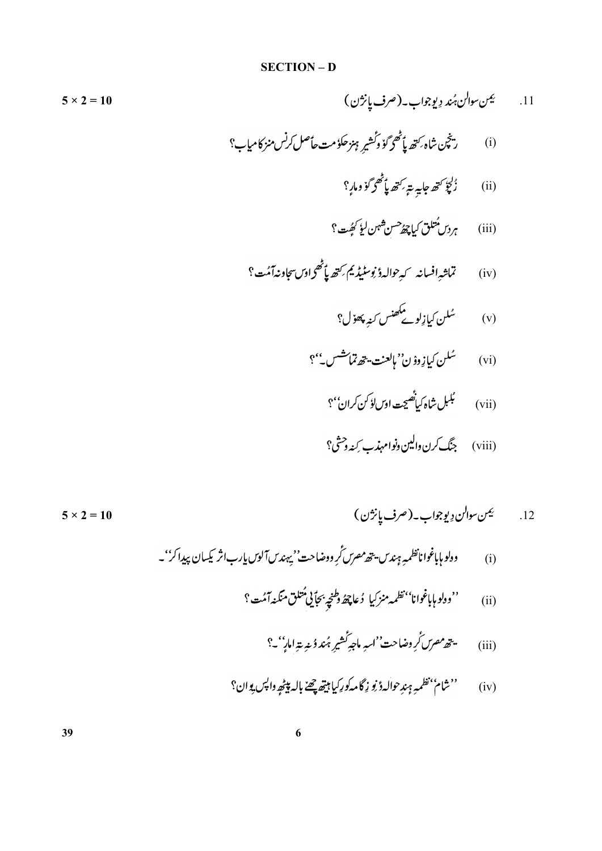ېردىن مىلىق كياچۇ ھىن شہن لي<sup>ۇ ك</sup>َھُت؟  $(iii)$ 

(iv) 
$$
W_1 = \sqrt{2\pi} \int_0^\infty t^2 e^{i\omega t} \, dt
$$

$$
(\mathrm{v})
$$

- (vi) سىسىسىكىيان<sub>ى</sub>وۋى<sup>،</sup> بالعنت يىتھەتماشىس يىمبك
	- (vii) بېسل شاه کیاتھىچىت اوس لۈکن کران''؟
	- (viii) جنگ کرن والین ونوامہذب ِ کِنہ دِحشْ؟

يمن سوالن دِيوجواب - (صرف پانژن)  $.12$  $5 \times 2 = 10$ 

- ''وولو ہاباغوانا''نظمہ منز کیا دُعاچھُ وطُخِہِ بِحاً پی مُتلق منکنہ آمُت؟  $(ii)$ 
	- يتھ *مصرت کُرِ د*ضاحت' <sub>اسب</sub>ر ماجبرگشير هُند دُبنِه سِرامارِ''۔؟  $(iii)$

39

 $5 \times 2$